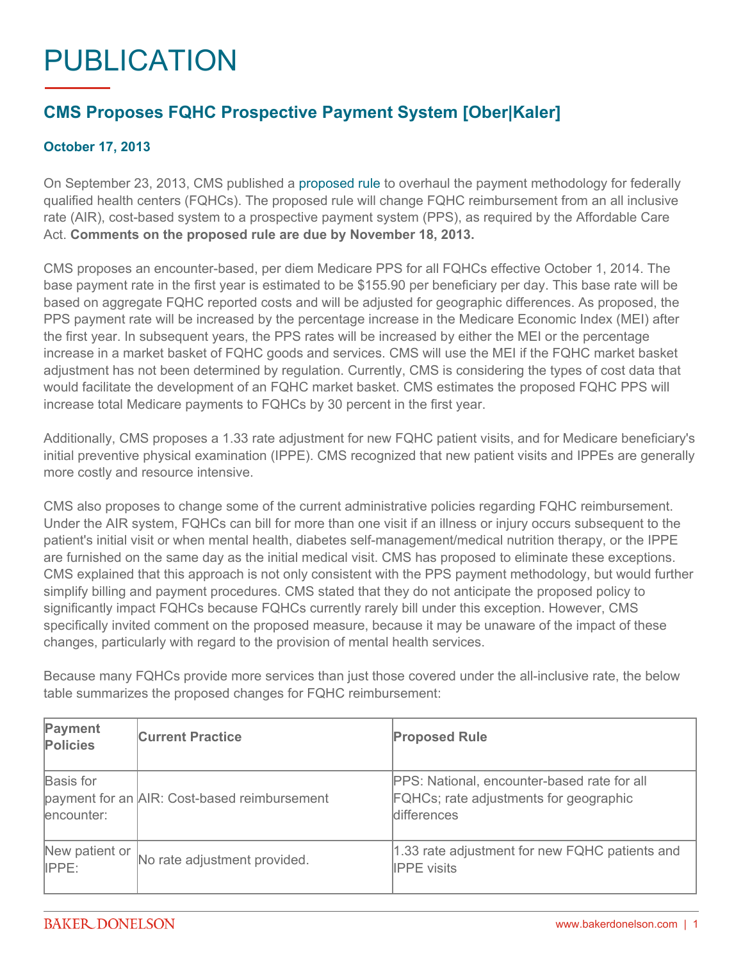## PUBLICATION

## **CMS Proposes FQHC Prospective Payment System [Ober|Kaler]**

## **October 17, 2013**

On September 23, 2013, CMS published a [proposed rule](http://www.gpo.gov/fdsys/pkg/FR-2013-09-23/pdf/2013-22821.pdf) to overhaul the payment methodology for federally qualified health centers (FQHCs). The proposed rule will change FQHC reimbursement from an all inclusive rate (AIR), cost-based system to a prospective payment system (PPS), as required by the Affordable Care Act. **Comments on the proposed rule are due by November 18, 2013.**

CMS proposes an encounter-based, per diem Medicare PPS for all FQHCs effective October 1, 2014. The base payment rate in the first year is estimated to be \$155.90 per beneficiary per day. This base rate will be based on aggregate FQHC reported costs and will be adjusted for geographic differences. As proposed, the PPS payment rate will be increased by the percentage increase in the Medicare Economic Index (MEI) after the first year. In subsequent years, the PPS rates will be increased by either the MEI or the percentage increase in a market basket of FQHC goods and services. CMS will use the MEI if the FQHC market basket adjustment has not been determined by regulation. Currently, CMS is considering the types of cost data that would facilitate the development of an FQHC market basket. CMS estimates the proposed FQHC PPS will increase total Medicare payments to FQHCs by 30 percent in the first year.

Additionally, CMS proposes a 1.33 rate adjustment for new FQHC patient visits, and for Medicare beneficiary's initial preventive physical examination (IPPE). CMS recognized that new patient visits and IPPEs are generally more costly and resource intensive.

CMS also proposes to change some of the current administrative policies regarding FQHC reimbursement. Under the AIR system, FQHCs can bill for more than one visit if an illness or injury occurs subsequent to the patient's initial visit or when mental health, diabetes self-management/medical nutrition therapy, or the IPPE are furnished on the same day as the initial medical visit. CMS has proposed to eliminate these exceptions. CMS explained that this approach is not only consistent with the PPS payment methodology, but would further simplify billing and payment procedures. CMS stated that they do not anticipate the proposed policy to significantly impact FQHCs because FQHCs currently rarely bill under this exception. However, CMS specifically invited comment on the proposed measure, because it may be unaware of the impact of these changes, particularly with regard to the provision of mental health services.

Because many FQHCs provide more services than just those covered under the all-inclusive rate, the below table summarizes the proposed changes for FQHC reimbursement:

| Payment<br><b>Policies</b> | <b>Current Practice</b>                      | <b>Proposed Rule</b>                                                                                        |
|----------------------------|----------------------------------------------|-------------------------------------------------------------------------------------------------------------|
| Basis for<br>encounter:    | payment for an AIR: Cost-based reimbursement | PPS: National, encounter-based rate for all<br>FQHCs; rate adjustments for geographic<br><b>differences</b> |
| New patient or<br>IPPE:    | No rate adjustment provided.                 | 1.33 rate adjustment for new FQHC patients and<br><b>IPPE</b> visits                                        |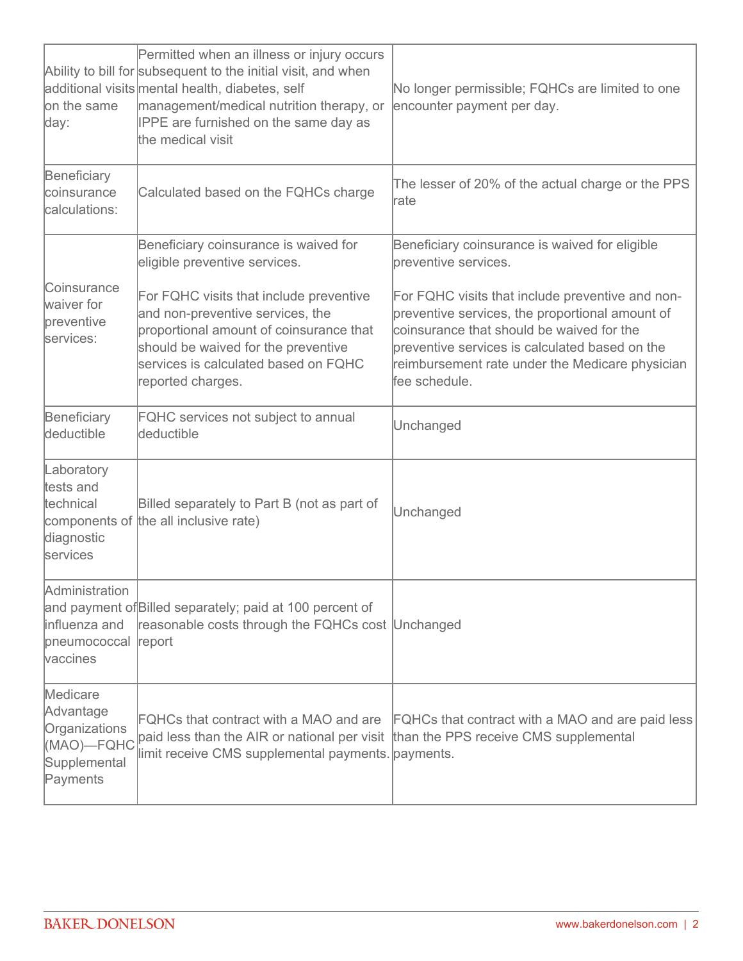| on the same<br>day:                                                              | Permitted when an illness or injury occurs<br>Ability to bill for subsequent to the initial visit, and when<br>additional visits mental health, diabetes, self<br>management/medical nutrition therapy, or<br>IPPE are furnished on the same day as<br>the medical visit                             | No longer permissible; FQHCs are limited to one<br>encounter payment per day.                                                                                                                                                                                                                                                                     |
|----------------------------------------------------------------------------------|------------------------------------------------------------------------------------------------------------------------------------------------------------------------------------------------------------------------------------------------------------------------------------------------------|---------------------------------------------------------------------------------------------------------------------------------------------------------------------------------------------------------------------------------------------------------------------------------------------------------------------------------------------------|
| Beneficiary<br>coinsurance<br>calculations:                                      | Calculated based on the FQHCs charge                                                                                                                                                                                                                                                                 | The lesser of 20% of the actual charge or the PPS<br><b>rate</b>                                                                                                                                                                                                                                                                                  |
| Coinsurance<br>waiver for<br>preventive<br>services:                             | Beneficiary coinsurance is waived for<br>eligible preventive services.<br>For FQHC visits that include preventive<br>and non-preventive services, the<br>proportional amount of coinsurance that<br>should be waived for the preventive<br>services is calculated based on FQHC<br>reported charges. | Beneficiary coinsurance is waived for eligible<br>breventive services.<br>For FQHC visits that include preventive and non-<br>preventive services, the proportional amount of<br>coinsurance that should be waived for the<br>breventive services is calculated based on the<br>reimbursement rate under the Medicare physician<br>lfee schedule. |
| Beneficiary<br>deductible                                                        | <b>FQHC</b> services not subject to annual<br>deductible                                                                                                                                                                                                                                             | Unchanged                                                                                                                                                                                                                                                                                                                                         |
| Laboratory<br>tests and<br>technical<br>diagnostic<br>services                   | Billed separately to Part B (not as part of<br>components of the all inclusive rate)                                                                                                                                                                                                                 | Unchanged                                                                                                                                                                                                                                                                                                                                         |
| Administration<br>influenza and<br>pneumococcal<br>vaccines                      | and payment of Billed separately; paid at 100 percent of<br>reasonable costs through the FQHCs cost Unchanged<br>report                                                                                                                                                                              |                                                                                                                                                                                                                                                                                                                                                   |
| Medicare<br>Advantage<br>Organizations<br>(MAO)-FQHC<br>Supplemental<br>Payments | paid less than the AIR or national per visit than the PPS receive CMS supplemental<br>limit receive CMS supplemental payments. payments.                                                                                                                                                             | FQHCs that contract with a MAO and are FQHCs that contract with a MAO and are paid less                                                                                                                                                                                                                                                           |